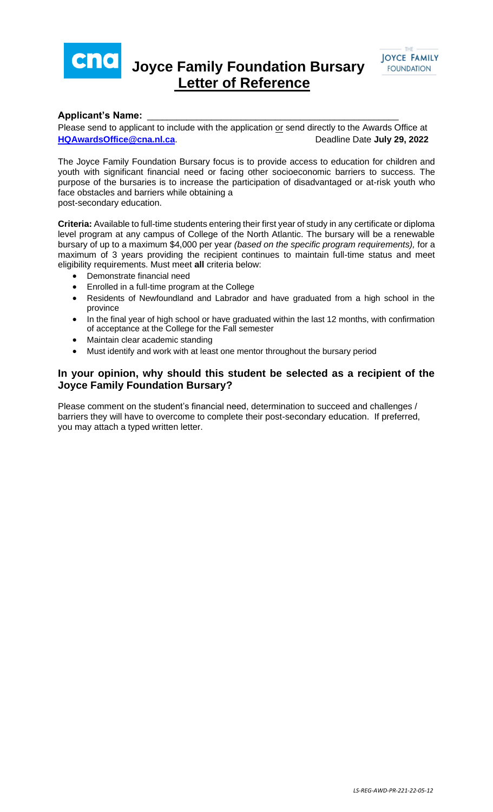

## **Joyce Family Foundation Bursary Letter of Reference**



## **Applicant's Name:** \_\_\_\_\_\_\_\_\_\_\_\_\_\_\_\_\_\_\_\_\_\_\_\_\_\_\_\_\_\_\_\_\_\_\_\_\_\_\_\_\_\_\_\_\_\_\_\_\_\_\_

Please send to applicant to include with the application or send directly to the Awards Office at **[HQAwardsOffice@cna.nl.ca](mailto:HQAwardsOffice@cna.nl.ca).** Deadline Date July 29, 2022

The Joyce Family Foundation Bursary focus is to provide access to education for children and youth with significant financial need or facing other socioeconomic barriers to success. The purpose of the bursaries is to increase the participation of disadvantaged or at-risk youth who face obstacles and barriers while obtaining a post-secondary education.

**Criteria:** Available to full-time students entering their first year of study in any certificate or diploma level program at any campus of College of the North Atlantic. The bursary will be a renewable bursary of up to a maximum \$4,000 per year *(based on the specific program requirements),* for a maximum of 3 years providing the recipient continues to maintain full-time status and meet eligibility requirements. Must meet **all** criteria below:

- Demonstrate financial need
- Enrolled in a full-time program at the College
- Residents of Newfoundland and Labrador and have graduated from a high school in the province
- In the final year of high school or have graduated within the last 12 months, with confirmation of acceptance at the College for the Fall semester
- Maintain clear academic standing
- Must identify and work with at least one mentor throughout the bursary period

## **In your opinion, why should this student be selected as a recipient of the Joyce Family Foundation Bursary?**

Please comment on the student's financial need, determination to succeed and challenges / barriers they will have to overcome to complete their post-secondary education. If preferred, you may attach a typed written letter.